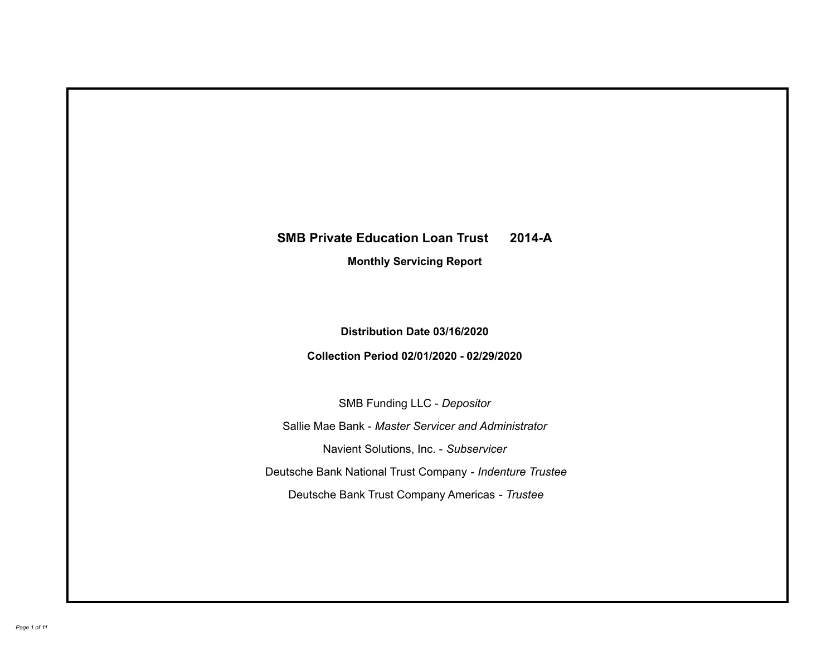# **SMB Private Education Loan Trust 2014-A Monthly Servicing Report**

# **Distribution Date 03/16/2020**

# **Collection Period 02/01/2020 - 02/29/2020**

SMB Funding LLC - *Depositor*

Sallie Mae Bank - *Master Servicer and Administrator*

Navient Solutions, Inc. - *Subservicer*

Deutsche Bank National Trust Company - *Indenture Trustee*

Deutsche Bank Trust Company Americas - *Trustee*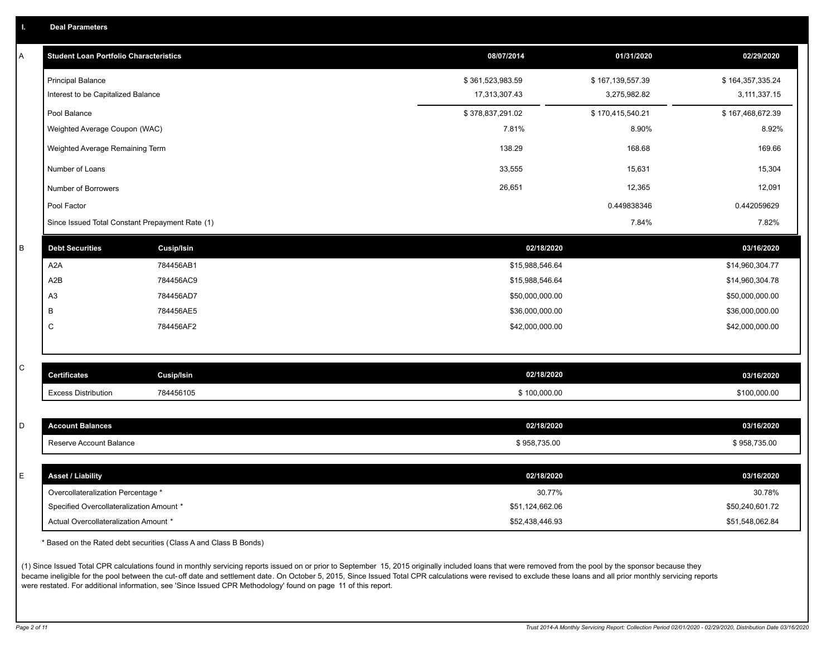| A | <b>Student Loan Portfolio Characteristics</b>   |            | 08/07/2014       | 01/31/2020       | 02/29/2020       |
|---|-------------------------------------------------|------------|------------------|------------------|------------------|
|   | <b>Principal Balance</b>                        |            | \$361,523,983.59 | \$167,139,557.39 | \$164,357,335.24 |
|   | Interest to be Capitalized Balance              |            | 17,313,307.43    | 3,275,982.82     | 3,111,337.15     |
|   | Pool Balance                                    |            | \$378,837,291.02 | \$170,415,540.21 | \$167,468,672.39 |
|   | Weighted Average Coupon (WAC)                   |            | 7.81%            | 8.90%            | 8.92%            |
|   | Weighted Average Remaining Term                 |            | 138.29           | 168.68           | 169.66           |
|   | Number of Loans                                 |            | 33,555           | 15,631           | 15,304           |
|   | Number of Borrowers                             |            | 26,651           | 12,365           | 12,091           |
|   | Pool Factor                                     |            |                  | 0.449838346      | 0.442059629      |
|   | Since Issued Total Constant Prepayment Rate (1) |            |                  | 7.84%            | 7.82%            |
| B | <b>Debt Securities</b>                          | Cusip/Isin | 02/18/2020       |                  | 03/16/2020       |
|   | A <sub>2</sub> A                                | 784456AB1  | \$15,988,546.64  |                  | \$14,960,304.77  |
|   | A2B                                             | 784456AC9  | \$15,988,546.64  |                  | \$14,960,304.78  |
|   | A <sub>3</sub>                                  | 784456AD7  | \$50,000,000.00  |                  | \$50,000,000.00  |
|   | B                                               | 784456AE5  | \$36,000,000.00  |                  | \$36,000,000.00  |
|   | С                                               | 784456AF2  | \$42,000,000.00  |                  | \$42,000,000.00  |
|   |                                                 |            |                  |                  |                  |
| С | <b>Certificates</b>                             | Cusip/Isin | 02/18/2020       |                  | 03/16/2020       |
|   | <b>Excess Distribution</b>                      | 784456105  | \$100,000.00     |                  | \$100,000.00     |
|   |                                                 |            |                  |                  |                  |
| D | <b>Account Balances</b>                         |            | 02/18/2020       |                  | 03/16/2020       |
|   | Reserve Account Balance                         |            | \$958,735.00     |                  | \$958,735.00     |
|   |                                                 |            |                  |                  |                  |
| E | <b>Asset / Liability</b>                        |            | 02/18/2020       |                  | 03/16/2020       |
|   | Overcollateralization Percentage *              |            | 30.77%           |                  | 30.78%           |
|   | Specified Overcollateralization Amount *        |            | \$51,124,662.06  |                  | \$50,240,601.72  |
|   | Actual Overcollateralization Amount *           |            | \$52,438,446.93  |                  | \$51,548,062.84  |

\* Based on the Rated debt securities (Class A and Class B Bonds)

(1) Since Issued Total CPR calculations found in monthly servicing reports issued on or prior to September 15, 2015 originally included loans that were removed from the pool by the sponsor because they became ineligible for the pool between the cut-off date and settlement date. On October 5, 2015, Since Issued Total CPR calculations were revised to exclude these loans and all prior monthly servicing reports were restated. For additional information, see 'Since Issued CPR Methodology' found on page 11 of this report.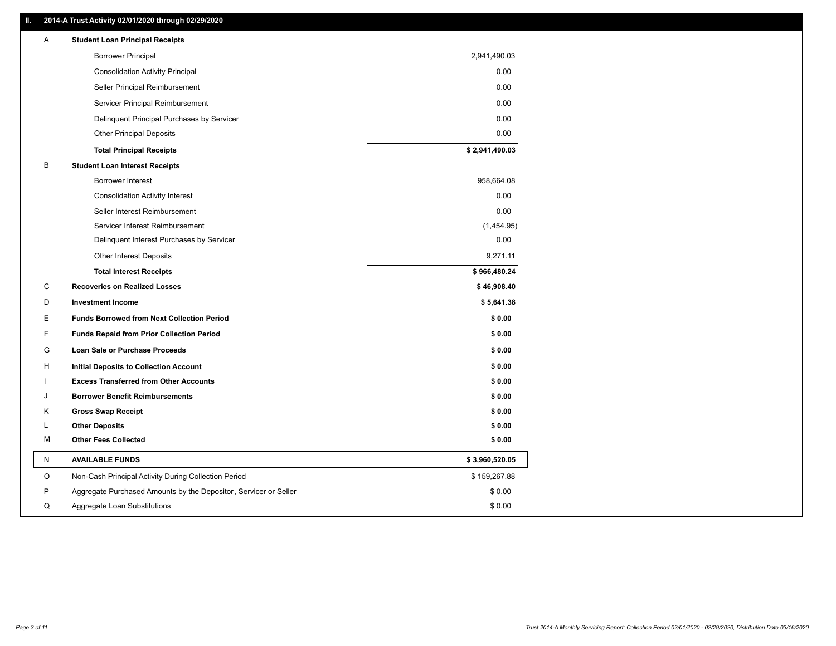### **II. 2014-A Trust Activity 02/01/2020 through 02/29/2020**

| Α         | <b>Student Loan Principal Receipts</b>                           |                |
|-----------|------------------------------------------------------------------|----------------|
|           | <b>Borrower Principal</b>                                        | 2,941,490.03   |
|           | <b>Consolidation Activity Principal</b>                          | 0.00           |
|           | Seller Principal Reimbursement                                   | 0.00           |
|           | Servicer Principal Reimbursement                                 | 0.00           |
|           | Delinquent Principal Purchases by Servicer                       | 0.00           |
|           | <b>Other Principal Deposits</b>                                  | 0.00           |
|           | <b>Total Principal Receipts</b>                                  | \$2,941,490.03 |
| В         | <b>Student Loan Interest Receipts</b>                            |                |
|           | <b>Borrower Interest</b>                                         | 958,664.08     |
|           | <b>Consolidation Activity Interest</b>                           | 0.00           |
|           | Seller Interest Reimbursement                                    | 0.00           |
|           | Servicer Interest Reimbursement                                  | (1,454.95)     |
|           | Delinquent Interest Purchases by Servicer                        | 0.00           |
|           | <b>Other Interest Deposits</b>                                   | 9,271.11       |
|           | <b>Total Interest Receipts</b>                                   | \$966,480.24   |
| C         | <b>Recoveries on Realized Losses</b>                             | \$46,908.40    |
| D         | <b>Investment Income</b>                                         | \$5,641.38     |
| Е         | Funds Borrowed from Next Collection Period                       | \$0.00         |
| F.        | <b>Funds Repaid from Prior Collection Period</b>                 | \$0.00         |
| G         | Loan Sale or Purchase Proceeds                                   | \$0.00         |
| н         | Initial Deposits to Collection Account                           | \$0.00         |
|           | <b>Excess Transferred from Other Accounts</b>                    | \$0.00         |
| . I       | <b>Borrower Benefit Reimbursements</b>                           | \$0.00         |
| Κ         | <b>Gross Swap Receipt</b>                                        | \$0.00         |
| L         | <b>Other Deposits</b>                                            | \$0.00         |
| М         | <b>Other Fees Collected</b>                                      | \$0.00         |
| ${\sf N}$ | <b>AVAILABLE FUNDS</b>                                           | \$3,960,520.05 |
| O         | Non-Cash Principal Activity During Collection Period             | \$159,267.88   |
| P         | Aggregate Purchased Amounts by the Depositor, Servicer or Seller | \$0.00         |
| Q         | Aggregate Loan Substitutions                                     | \$0.00         |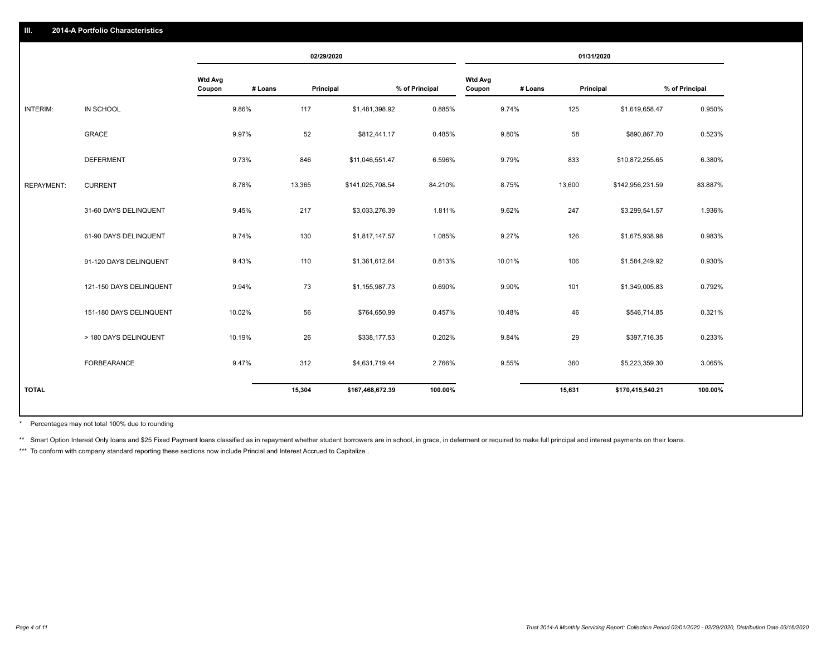|                   |                         |                          |         | 02/29/2020 |                  |                |                          |         | 01/31/2020 |                  |                |
|-------------------|-------------------------|--------------------------|---------|------------|------------------|----------------|--------------------------|---------|------------|------------------|----------------|
|                   |                         | <b>Wtd Avg</b><br>Coupon | # Loans | Principal  |                  | % of Principal | <b>Wtd Avg</b><br>Coupon | # Loans | Principal  |                  | % of Principal |
| <b>INTERIM:</b>   | IN SCHOOL               | 9.86%                    |         | 117        | \$1,481,398.92   | 0.885%         |                          | 9.74%   | 125        | \$1,619,658.47   | 0.950%         |
|                   | <b>GRACE</b>            | 9.97%                    |         | 52         | \$812,441.17     | 0.485%         |                          | 9.80%   | 58         | \$890,867.70     | 0.523%         |
|                   | <b>DEFERMENT</b>        | 9.73%                    |         | 846        | \$11,046,551.47  | 6.596%         |                          | 9.79%   | 833        | \$10,872,255.65  | 6.380%         |
| <b>REPAYMENT:</b> | <b>CURRENT</b>          | 8.78%                    |         | 13,365     | \$141,025,708.54 | 84.210%        |                          | 8.75%   | 13,600     | \$142,956,231.59 | 83.887%        |
|                   | 31-60 DAYS DELINQUENT   | 9.45%                    |         | 217        | \$3,033,276.39   | 1.811%         |                          | 9.62%   | 247        | \$3,299,541.57   | 1.936%         |
|                   | 61-90 DAYS DELINQUENT   | 9.74%                    |         | 130        | \$1,817,147.57   | 1.085%         |                          | 9.27%   | 126        | \$1,675,938.98   | 0.983%         |
|                   | 91-120 DAYS DELINQUENT  | 9.43%                    |         | 110        | \$1,361,612.64   | 0.813%         |                          | 10.01%  | 106        | \$1,584,249.92   | 0.930%         |
|                   | 121-150 DAYS DELINQUENT | 9.94%                    |         | 73         | \$1,155,987.73   | 0.690%         |                          | 9.90%   | 101        | \$1,349,005.83   | 0.792%         |
|                   | 151-180 DAYS DELINQUENT | 10.02%                   |         | 56         | \$764,650.99     | 0.457%         |                          | 10.48%  | 46         | \$546,714.85     | 0.321%         |
|                   | > 180 DAYS DELINQUENT   | 10.19%                   |         | 26         | \$338,177.53     | 0.202%         |                          | 9.84%   | 29         | \$397,716.35     | 0.233%         |
|                   | <b>FORBEARANCE</b>      | 9.47%                    |         | 312        | \$4,631,719.44   | 2.766%         |                          | 9.55%   | 360        | \$5,223,359.30   | 3.065%         |
| <b>TOTAL</b>      |                         |                          |         | 15,304     | \$167,468,672.39 | 100.00%        |                          |         | 15,631     | \$170,415,540.21 | 100.00%        |

Percentages may not total 100% due to rounding \*

\*\* Smart Option Interest Only loans and \$25 Fixed Payment loans classified as in repayment whether student borrowers are in school, in grace, in deferment or required to make full principal and interest payments on their l

\*\*\* To conform with company standard reporting these sections now include Princial and Interest Accrued to Capitalize.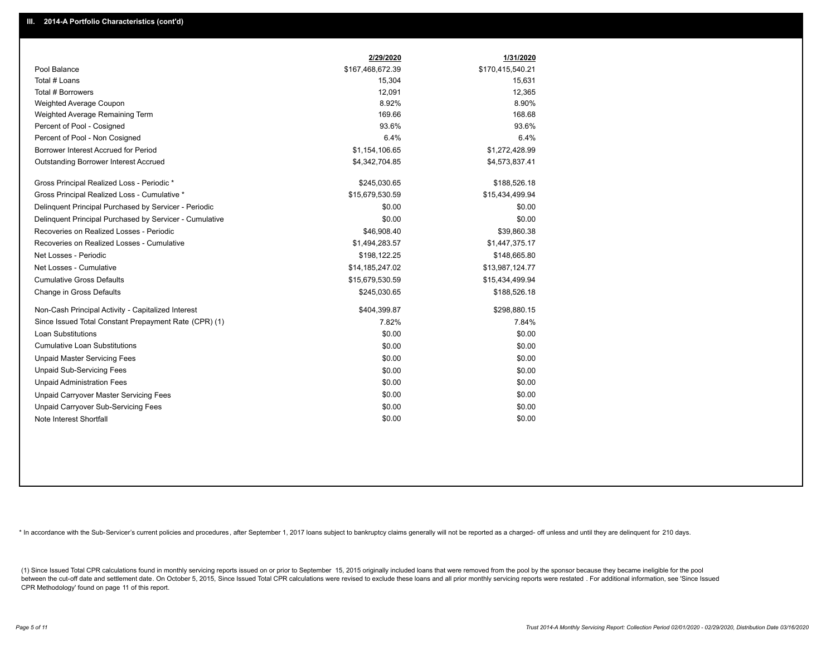|                                                         | 2/29/2020        | 1/31/2020        |
|---------------------------------------------------------|------------------|------------------|
| Pool Balance                                            | \$167,468,672.39 | \$170,415,540.21 |
| Total # Loans                                           | 15,304           | 15,631           |
| Total # Borrowers                                       | 12,091           | 12,365           |
| Weighted Average Coupon                                 | 8.92%            | 8.90%            |
| Weighted Average Remaining Term                         | 169.66           | 168.68           |
| Percent of Pool - Cosigned                              | 93.6%            | 93.6%            |
| Percent of Pool - Non Cosigned                          | 6.4%             | 6.4%             |
| Borrower Interest Accrued for Period                    | \$1,154,106.65   | \$1,272,428.99   |
| Outstanding Borrower Interest Accrued                   | \$4,342,704.85   | \$4,573,837.41   |
| Gross Principal Realized Loss - Periodic *              | \$245,030.65     | \$188,526.18     |
| Gross Principal Realized Loss - Cumulative *            | \$15,679,530.59  | \$15,434,499.94  |
| Delinquent Principal Purchased by Servicer - Periodic   | \$0.00           | \$0.00           |
| Delinquent Principal Purchased by Servicer - Cumulative | \$0.00           | \$0.00           |
| Recoveries on Realized Losses - Periodic                | \$46,908.40      | \$39,860.38      |
| Recoveries on Realized Losses - Cumulative              | \$1,494,283.57   | \$1,447,375.17   |
| Net Losses - Periodic                                   | \$198,122.25     | \$148,665.80     |
| Net Losses - Cumulative                                 | \$14,185,247.02  | \$13,987,124.77  |
| <b>Cumulative Gross Defaults</b>                        | \$15,679,530.59  | \$15,434,499.94  |
| Change in Gross Defaults                                | \$245,030.65     | \$188,526.18     |
| Non-Cash Principal Activity - Capitalized Interest      | \$404,399.87     | \$298,880.15     |
| Since Issued Total Constant Prepayment Rate (CPR) (1)   | 7.82%            | 7.84%            |
| Loan Substitutions                                      | \$0.00           | \$0.00           |
| <b>Cumulative Loan Substitutions</b>                    | \$0.00           | \$0.00           |
| <b>Unpaid Master Servicing Fees</b>                     | \$0.00           | \$0.00           |
| <b>Unpaid Sub-Servicing Fees</b>                        | \$0.00           | \$0.00           |
| <b>Unpaid Administration Fees</b>                       | \$0.00           | \$0.00           |
| Unpaid Carryover Master Servicing Fees                  | \$0.00           | \$0.00           |
| Unpaid Carryover Sub-Servicing Fees                     | \$0.00           | \$0.00           |
| Note Interest Shortfall                                 | \$0.00           | \$0.00           |

\* In accordance with the Sub-Servicer's current policies and procedures, after September 1, 2017 loans subject to bankruptcy claims generally will not be reported as a charged- off unless and until they are delinquent for

(1) Since Issued Total CPR calculations found in monthly servicing reports issued on or prior to September 15, 2015 originally included loans that were removed from the pool by the sponsor because they became ineligible fo between the cut-off date and settlement date. On October 5, 2015, Since Issued Total CPR calculations were revised to exclude these loans and all prior monthly servicing reports were restated. For additional information, s CPR Methodology' found on page 11 of this report.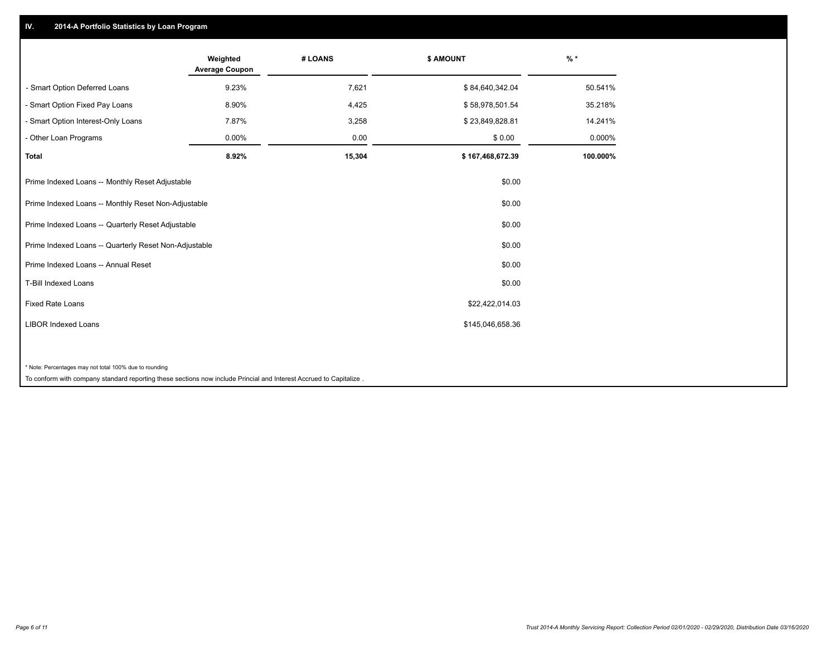## **IV. 2014-A Portfolio Statistics by Loan Program**

|                                                        | Weighted<br><b>Average Coupon</b> | # LOANS | \$ AMOUNT        | $\frac{9}{6}$ * |
|--------------------------------------------------------|-----------------------------------|---------|------------------|-----------------|
| - Smart Option Deferred Loans                          | 9.23%                             | 7,621   | \$84,640,342.04  | 50.541%         |
| - Smart Option Fixed Pay Loans                         | 8.90%                             | 4,425   | \$58,978,501.54  | 35.218%         |
| - Smart Option Interest-Only Loans                     | 7.87%                             | 3,258   | \$23,849,828.81  | 14.241%         |
| Other Loan Programs                                    | 0.00%                             | 0.00    | \$0.00           | 0.000%          |
| <b>Total</b>                                           | 8.92%                             | 15,304  | \$167,468,672.39 | 100.000%        |
| Prime Indexed Loans -- Monthly Reset Adjustable        |                                   |         | \$0.00           |                 |
| Prime Indexed Loans -- Monthly Reset Non-Adjustable    |                                   |         | \$0.00           |                 |
| Prime Indexed Loans -- Quarterly Reset Adjustable      |                                   |         | \$0.00           |                 |
| Prime Indexed Loans -- Quarterly Reset Non-Adjustable  |                                   |         | \$0.00           |                 |
| Prime Indexed Loans -- Annual Reset                    |                                   |         | \$0.00           |                 |
| <b>T-Bill Indexed Loans</b>                            |                                   |         | \$0.00           |                 |
| <b>Fixed Rate Loans</b>                                |                                   |         | \$22,422,014.03  |                 |
| <b>LIBOR Indexed Loans</b>                             |                                   |         | \$145,046,658.36 |                 |
|                                                        |                                   |         |                  |                 |
| * Note: Percentages may not total 100% due to rounding |                                   |         |                  |                 |

To conform with company standard reporting these sections now include Princial and Interest Accrued to Capitalize .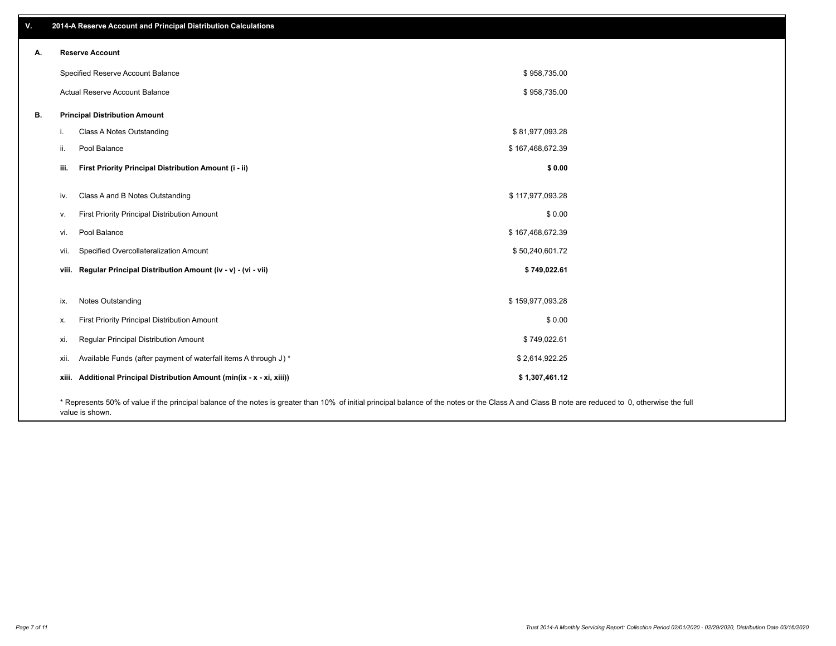| v. |    | 2014-A Reserve Account and Principal Distribution Calculations                                                                                                                                     |                  |  |
|----|----|----------------------------------------------------------------------------------------------------------------------------------------------------------------------------------------------------|------------------|--|
| А. |    | <b>Reserve Account</b>                                                                                                                                                                             |                  |  |
|    |    | Specified Reserve Account Balance                                                                                                                                                                  | \$958,735.00     |  |
|    |    | Actual Reserve Account Balance                                                                                                                                                                     | \$958,735.00     |  |
| В. |    | <b>Principal Distribution Amount</b>                                                                                                                                                               |                  |  |
|    | j. | Class A Notes Outstanding                                                                                                                                                                          | \$81,977,093.28  |  |
|    |    | Pool Balance<br>ii.                                                                                                                                                                                | \$167,468,672.39 |  |
|    |    | First Priority Principal Distribution Amount (i - ii)<br>iii.                                                                                                                                      | \$0.00           |  |
|    |    | Class A and B Notes Outstanding<br>iv.                                                                                                                                                             | \$117,977,093.28 |  |
|    |    | First Priority Principal Distribution Amount<br>v.                                                                                                                                                 | \$0.00           |  |
|    |    | Pool Balance<br>vi.                                                                                                                                                                                | \$167,468,672.39 |  |
|    |    | Specified Overcollateralization Amount<br>vii.                                                                                                                                                     | \$50,240,601.72  |  |
|    |    | viii. Regular Principal Distribution Amount (iv - v) - (vi - vii)                                                                                                                                  | \$749,022.61     |  |
|    |    | Notes Outstanding<br>ix.                                                                                                                                                                           | \$159,977,093.28 |  |
|    |    | First Priority Principal Distribution Amount<br>Х.                                                                                                                                                 | \$0.00           |  |
|    |    | Regular Principal Distribution Amount<br>xi.                                                                                                                                                       | \$749,022.61     |  |
|    |    |                                                                                                                                                                                                    |                  |  |
|    |    | Available Funds (after payment of waterfall items A through J) *<br>xii.                                                                                                                           | \$2,614,922.25   |  |
|    |    | xiii. Additional Principal Distribution Amount (min(ix - x - xi, xiii))                                                                                                                            | \$1,307,461.12   |  |
|    |    | * Represents 50% of value if the principal balance of the notes is greater than 10% of initial principal balance of the notes or the Class A and Class B note are reduced to 0, otherwise the full |                  |  |

value is shown.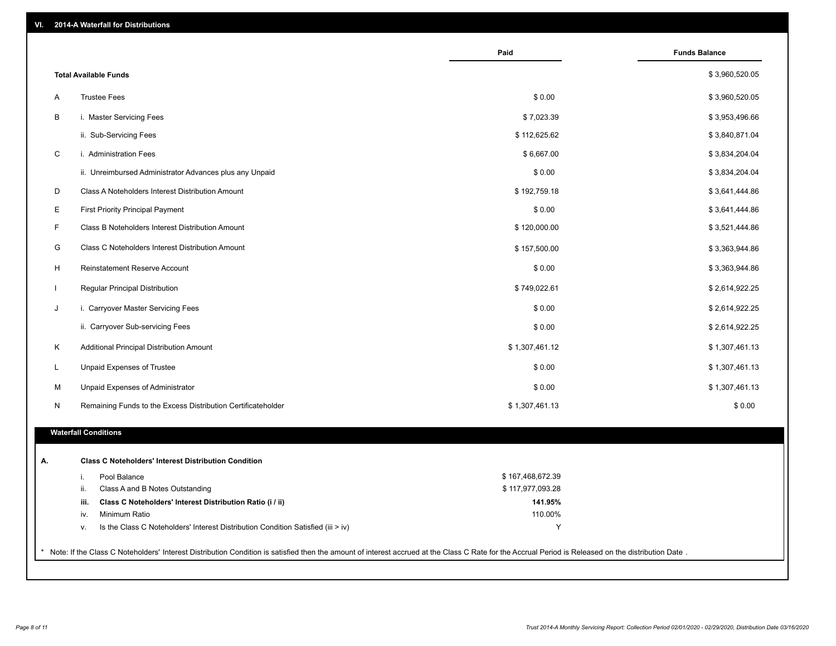| <b>Total Available Funds</b><br>\$0.00<br><b>Trustee Fees</b><br>Α<br>B<br>i. Master Servicing Fees<br>\$7,023.39<br>ii. Sub-Servicing Fees<br>\$112,625.62<br>$\mathsf C$<br>i. Administration Fees<br>\$6,667.00<br>\$0.00<br>ii. Unreimbursed Administrator Advances plus any Unpaid<br>D<br>\$192,759.18<br>Class A Noteholders Interest Distribution Amount<br>Е<br>\$0.00<br><b>First Priority Principal Payment</b><br>F.<br>Class B Noteholders Interest Distribution Amount<br>\$120,000.00<br>G<br>Class C Noteholders Interest Distribution Amount<br>\$157,500.00<br>H<br>Reinstatement Reserve Account<br>\$0.00<br>Regular Principal Distribution<br>\$749,022.61<br>$\mathbf{L}$<br>J<br>i. Carryover Master Servicing Fees<br>\$0.00<br>ii. Carryover Sub-servicing Fees<br>\$0.00<br>Κ<br>\$1,307,461.12<br>Additional Principal Distribution Amount<br>\$0.00<br>L<br>Unpaid Expenses of Trustee<br>\$1,307,461.13<br>\$0.00<br>м<br>Unpaid Expenses of Administrator<br>\$1,307,461.13<br>N<br>Remaining Funds to the Excess Distribution Certificateholder<br><b>Waterfall Conditions</b><br><b>Class C Noteholders' Interest Distribution Condition</b><br>А.<br>\$167,468,672.39<br>Pool Balance<br>i.<br>Class A and B Notes Outstanding<br>\$117,977,093.28<br>ii.<br>Class C Noteholders' Interest Distribution Ratio (i / ii)<br>141.95%<br>iii.<br>110.00%<br>Minimum Ratio<br>iv. |  | Paid | <b>Funds Balance</b> |
|---------------------------------------------------------------------------------------------------------------------------------------------------------------------------------------------------------------------------------------------------------------------------------------------------------------------------------------------------------------------------------------------------------------------------------------------------------------------------------------------------------------------------------------------------------------------------------------------------------------------------------------------------------------------------------------------------------------------------------------------------------------------------------------------------------------------------------------------------------------------------------------------------------------------------------------------------------------------------------------------------------------------------------------------------------------------------------------------------------------------------------------------------------------------------------------------------------------------------------------------------------------------------------------------------------------------------------------------------------------------------------------------------------------|--|------|----------------------|
|                                                                                                                                                                                                                                                                                                                                                                                                                                                                                                                                                                                                                                                                                                                                                                                                                                                                                                                                                                                                                                                                                                                                                                                                                                                                                                                                                                                                               |  |      | \$3,960,520.05       |
|                                                                                                                                                                                                                                                                                                                                                                                                                                                                                                                                                                                                                                                                                                                                                                                                                                                                                                                                                                                                                                                                                                                                                                                                                                                                                                                                                                                                               |  |      | \$3,960,520.05       |
|                                                                                                                                                                                                                                                                                                                                                                                                                                                                                                                                                                                                                                                                                                                                                                                                                                                                                                                                                                                                                                                                                                                                                                                                                                                                                                                                                                                                               |  |      | \$3,953,496.66       |
|                                                                                                                                                                                                                                                                                                                                                                                                                                                                                                                                                                                                                                                                                                                                                                                                                                                                                                                                                                                                                                                                                                                                                                                                                                                                                                                                                                                                               |  |      | \$3,840,871.04       |
|                                                                                                                                                                                                                                                                                                                                                                                                                                                                                                                                                                                                                                                                                                                                                                                                                                                                                                                                                                                                                                                                                                                                                                                                                                                                                                                                                                                                               |  |      | \$3,834,204.04       |
|                                                                                                                                                                                                                                                                                                                                                                                                                                                                                                                                                                                                                                                                                                                                                                                                                                                                                                                                                                                                                                                                                                                                                                                                                                                                                                                                                                                                               |  |      | \$3,834,204.04       |
|                                                                                                                                                                                                                                                                                                                                                                                                                                                                                                                                                                                                                                                                                                                                                                                                                                                                                                                                                                                                                                                                                                                                                                                                                                                                                                                                                                                                               |  |      | \$3,641,444.86       |
|                                                                                                                                                                                                                                                                                                                                                                                                                                                                                                                                                                                                                                                                                                                                                                                                                                                                                                                                                                                                                                                                                                                                                                                                                                                                                                                                                                                                               |  |      | \$3,641,444.86       |
|                                                                                                                                                                                                                                                                                                                                                                                                                                                                                                                                                                                                                                                                                                                                                                                                                                                                                                                                                                                                                                                                                                                                                                                                                                                                                                                                                                                                               |  |      | \$3,521,444.86       |
|                                                                                                                                                                                                                                                                                                                                                                                                                                                                                                                                                                                                                                                                                                                                                                                                                                                                                                                                                                                                                                                                                                                                                                                                                                                                                                                                                                                                               |  |      | \$3,363,944.86       |
|                                                                                                                                                                                                                                                                                                                                                                                                                                                                                                                                                                                                                                                                                                                                                                                                                                                                                                                                                                                                                                                                                                                                                                                                                                                                                                                                                                                                               |  |      | \$3,363,944.86       |
|                                                                                                                                                                                                                                                                                                                                                                                                                                                                                                                                                                                                                                                                                                                                                                                                                                                                                                                                                                                                                                                                                                                                                                                                                                                                                                                                                                                                               |  |      | \$2,614,922.25       |
|                                                                                                                                                                                                                                                                                                                                                                                                                                                                                                                                                                                                                                                                                                                                                                                                                                                                                                                                                                                                                                                                                                                                                                                                                                                                                                                                                                                                               |  |      | \$2,614,922.25       |
|                                                                                                                                                                                                                                                                                                                                                                                                                                                                                                                                                                                                                                                                                                                                                                                                                                                                                                                                                                                                                                                                                                                                                                                                                                                                                                                                                                                                               |  |      | \$2,614,922.25       |
|                                                                                                                                                                                                                                                                                                                                                                                                                                                                                                                                                                                                                                                                                                                                                                                                                                                                                                                                                                                                                                                                                                                                                                                                                                                                                                                                                                                                               |  |      | \$1,307,461.13       |
|                                                                                                                                                                                                                                                                                                                                                                                                                                                                                                                                                                                                                                                                                                                                                                                                                                                                                                                                                                                                                                                                                                                                                                                                                                                                                                                                                                                                               |  |      |                      |
|                                                                                                                                                                                                                                                                                                                                                                                                                                                                                                                                                                                                                                                                                                                                                                                                                                                                                                                                                                                                                                                                                                                                                                                                                                                                                                                                                                                                               |  |      |                      |
|                                                                                                                                                                                                                                                                                                                                                                                                                                                                                                                                                                                                                                                                                                                                                                                                                                                                                                                                                                                                                                                                                                                                                                                                                                                                                                                                                                                                               |  |      | \$1,307,461.13       |
|                                                                                                                                                                                                                                                                                                                                                                                                                                                                                                                                                                                                                                                                                                                                                                                                                                                                                                                                                                                                                                                                                                                                                                                                                                                                                                                                                                                                               |  |      | \$0.00               |
|                                                                                                                                                                                                                                                                                                                                                                                                                                                                                                                                                                                                                                                                                                                                                                                                                                                                                                                                                                                                                                                                                                                                                                                                                                                                                                                                                                                                               |  |      |                      |
|                                                                                                                                                                                                                                                                                                                                                                                                                                                                                                                                                                                                                                                                                                                                                                                                                                                                                                                                                                                                                                                                                                                                                                                                                                                                                                                                                                                                               |  |      |                      |
|                                                                                                                                                                                                                                                                                                                                                                                                                                                                                                                                                                                                                                                                                                                                                                                                                                                                                                                                                                                                                                                                                                                                                                                                                                                                                                                                                                                                               |  |      |                      |
|                                                                                                                                                                                                                                                                                                                                                                                                                                                                                                                                                                                                                                                                                                                                                                                                                                                                                                                                                                                                                                                                                                                                                                                                                                                                                                                                                                                                               |  |      |                      |
|                                                                                                                                                                                                                                                                                                                                                                                                                                                                                                                                                                                                                                                                                                                                                                                                                                                                                                                                                                                                                                                                                                                                                                                                                                                                                                                                                                                                               |  |      |                      |
|                                                                                                                                                                                                                                                                                                                                                                                                                                                                                                                                                                                                                                                                                                                                                                                                                                                                                                                                                                                                                                                                                                                                                                                                                                                                                                                                                                                                               |  |      |                      |
| Is the Class C Noteholders' Interest Distribution Condition Satisfied (iii > iv)<br>v.                                                                                                                                                                                                                                                                                                                                                                                                                                                                                                                                                                                                                                                                                                                                                                                                                                                                                                                                                                                                                                                                                                                                                                                                                                                                                                                        |  | Y    |                      |
|                                                                                                                                                                                                                                                                                                                                                                                                                                                                                                                                                                                                                                                                                                                                                                                                                                                                                                                                                                                                                                                                                                                                                                                                                                                                                                                                                                                                               |  |      |                      |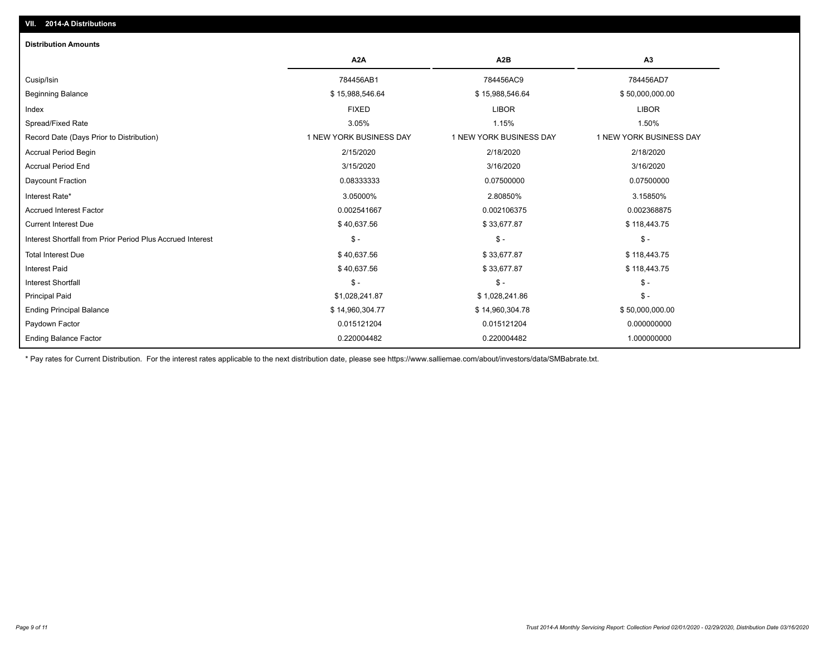| <b>Distribution Amounts</b>                                |                         |                         |                         |
|------------------------------------------------------------|-------------------------|-------------------------|-------------------------|
|                                                            | A <sub>2</sub> A        | A <sub>2</sub> B        | A3                      |
| Cusip/Isin                                                 | 784456AB1               | 784456AC9               | 784456AD7               |
| <b>Beginning Balance</b>                                   | \$15,988,546.64         | \$15,988,546.64         | \$50,000,000.00         |
| Index                                                      | <b>FIXED</b>            | <b>LIBOR</b>            | <b>LIBOR</b>            |
| Spread/Fixed Rate                                          | 3.05%                   | 1.15%                   | 1.50%                   |
| Record Date (Days Prior to Distribution)                   | 1 NEW YORK BUSINESS DAY | 1 NEW YORK BUSINESS DAY | 1 NEW YORK BUSINESS DAY |
| <b>Accrual Period Begin</b>                                | 2/15/2020               | 2/18/2020               | 2/18/2020               |
| <b>Accrual Period End</b>                                  | 3/15/2020               | 3/16/2020               | 3/16/2020               |
| Daycount Fraction                                          | 0.08333333              | 0.07500000              | 0.07500000              |
| Interest Rate*                                             | 3.05000%                | 2.80850%                | 3.15850%                |
| <b>Accrued Interest Factor</b>                             | 0.002541667             | 0.002106375             | 0.002368875             |
| <b>Current Interest Due</b>                                | \$40,637.56             | \$33,677.87             | \$118,443.75            |
| Interest Shortfall from Prior Period Plus Accrued Interest | $\mathcal{S}$ -         | $\mathcal{S}$ -         | $\mathcal{S}$ -         |
| <b>Total Interest Due</b>                                  | \$40,637.56             | \$33,677.87             | \$118,443.75            |
| <b>Interest Paid</b>                                       | \$40,637.56             | \$33,677.87             | \$118,443.75            |
| <b>Interest Shortfall</b>                                  | $\frac{1}{2}$           | $\mathsf{\$}$ -         | $\mathsf{\$}$ -         |
| <b>Principal Paid</b>                                      | \$1,028,241.87          | \$1,028,241.86          | $\mathsf{\$}$ -         |
| <b>Ending Principal Balance</b>                            | \$14,960,304.77         | \$14,960,304.78         | \$50,000,000.00         |
| Paydown Factor                                             | 0.015121204             | 0.015121204             | 0.000000000             |
| <b>Ending Balance Factor</b>                               | 0.220004482             | 0.220004482             | 1.000000000             |

\* Pay rates for Current Distribution. For the interest rates applicable to the next distribution date, please see https://www.salliemae.com/about/investors/data/SMBabrate.txt.

**VII. 2014-A Distributions**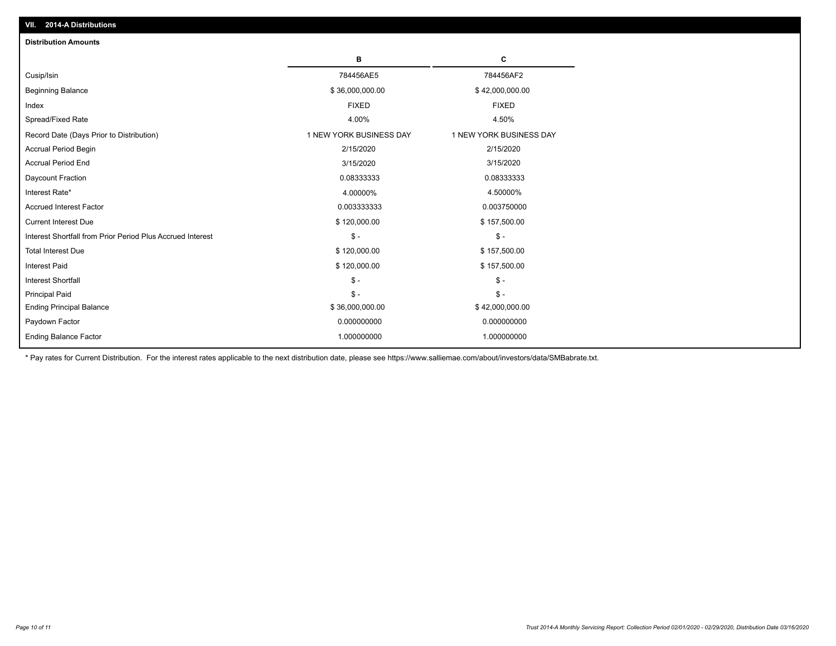| <b>Distribution Amounts</b>                                |                         |                         |
|------------------------------------------------------------|-------------------------|-------------------------|
|                                                            | в                       | C                       |
| Cusip/Isin                                                 | 784456AE5               | 784456AF2               |
| <b>Beginning Balance</b>                                   | \$36,000,000.00         | \$42,000,000.00         |
| Index                                                      | <b>FIXED</b>            | <b>FIXED</b>            |
| Spread/Fixed Rate                                          | 4.00%                   | 4.50%                   |
| Record Date (Days Prior to Distribution)                   | 1 NEW YORK BUSINESS DAY | 1 NEW YORK BUSINESS DAY |
| <b>Accrual Period Begin</b>                                | 2/15/2020               | 2/15/2020               |
| <b>Accrual Period End</b>                                  | 3/15/2020               | 3/15/2020               |
| Daycount Fraction                                          | 0.08333333              | 0.08333333              |
| Interest Rate*                                             | 4.00000%                | 4.50000%                |
| <b>Accrued Interest Factor</b>                             | 0.003333333             | 0.003750000             |
| <b>Current Interest Due</b>                                | \$120,000.00            | \$157,500.00            |
| Interest Shortfall from Prior Period Plus Accrued Interest | $\frac{1}{2}$           | $\mathbb{S}$ -          |
| <b>Total Interest Due</b>                                  | \$120,000.00            | \$157,500.00            |
| <b>Interest Paid</b>                                       | \$120,000.00            | \$157,500.00            |
| <b>Interest Shortfall</b>                                  | $\mathcal{S}$ -         | $\mathsf{\$}$ -         |
| <b>Principal Paid</b>                                      | $\mathsf{\$}$ -         | $$ -$                   |
| <b>Ending Principal Balance</b>                            | \$36,000,000.00         | \$42,000,000.00         |
| Paydown Factor                                             | 0.000000000             | 0.000000000             |
| <b>Ending Balance Factor</b>                               | 1.000000000             | 1.000000000             |

\* Pay rates for Current Distribution. For the interest rates applicable to the next distribution date, please see https://www.salliemae.com/about/investors/data/SMBabrate.txt.

**VII. 2014-A Distributions**